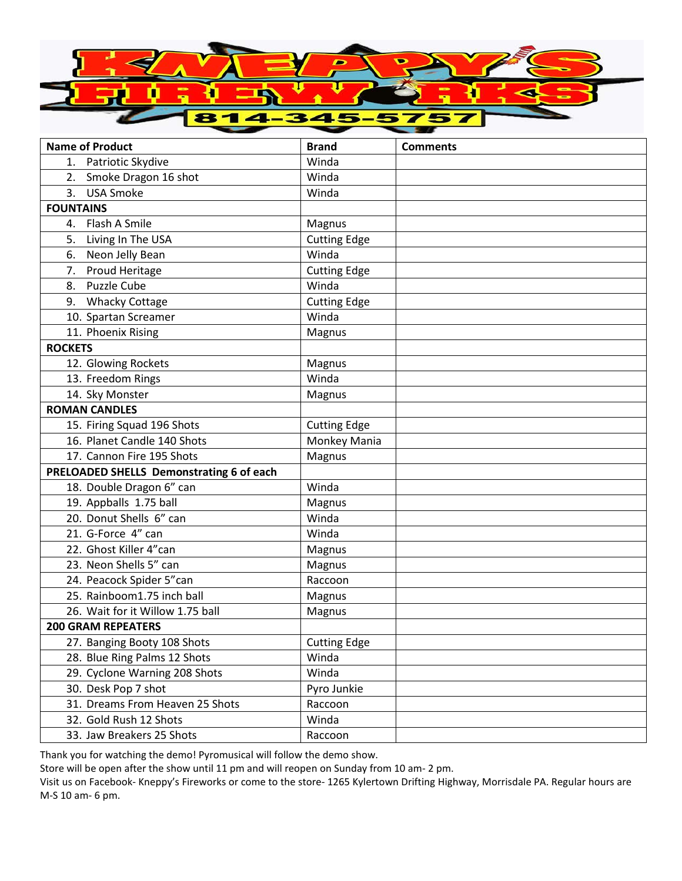

| <b>Name of Product</b>                   | <b>Brand</b>        | <b>Comments</b> |
|------------------------------------------|---------------------|-----------------|
| 1. Patriotic Skydive                     | Winda               |                 |
| 2. Smoke Dragon 16 shot                  | Winda               |                 |
| 3.<br><b>USA Smoke</b>                   | Winda               |                 |
| <b>FOUNTAINS</b>                         |                     |                 |
| 4. Flash A Smile                         | Magnus              |                 |
| 5.<br>Living In The USA                  | <b>Cutting Edge</b> |                 |
| Neon Jelly Bean<br>6.                    | Winda               |                 |
| Proud Heritage<br>7.                     | <b>Cutting Edge</b> |                 |
| <b>Puzzle Cube</b><br>8.                 | Winda               |                 |
| <b>Whacky Cottage</b><br>9.              | <b>Cutting Edge</b> |                 |
| 10. Spartan Screamer                     | Winda               |                 |
| 11. Phoenix Rising                       | Magnus              |                 |
| <b>ROCKETS</b>                           |                     |                 |
| 12. Glowing Rockets                      | Magnus              |                 |
| 13. Freedom Rings                        | Winda               |                 |
| 14. Sky Monster                          | Magnus              |                 |
| <b>ROMAN CANDLES</b>                     |                     |                 |
| 15. Firing Squad 196 Shots               | <b>Cutting Edge</b> |                 |
| 16. Planet Candle 140 Shots              | Monkey Mania        |                 |
| 17. Cannon Fire 195 Shots                | Magnus              |                 |
| PRELOADED SHELLS Demonstrating 6 of each |                     |                 |
| 18. Double Dragon 6" can                 | Winda               |                 |
| 19. Appballs 1.75 ball                   | Magnus              |                 |
| 20. Donut Shells 6" can                  | Winda               |                 |
| 21. G-Force 4" can                       | Winda               |                 |
| 22. Ghost Killer 4"can                   | Magnus              |                 |
| 23. Neon Shells 5" can                   | Magnus              |                 |
| 24. Peacock Spider 5"can                 | Raccoon             |                 |
| 25. Rainboom1.75 inch ball               | Magnus              |                 |
| 26. Wait for it Willow 1.75 ball         | Magnus              |                 |
| <b>200 GRAM REPEATERS</b>                |                     |                 |
| 27. Banging Booty 108 Shots              | <b>Cutting Edge</b> |                 |
| 28. Blue Ring Palms 12 Shots             | Winda               |                 |
| 29. Cyclone Warning 208 Shots            | Winda               |                 |
| 30. Desk Pop 7 shot                      | Pyro Junkie         |                 |
| 31. Dreams From Heaven 25 Shots          | Raccoon             |                 |
| 32. Gold Rush 12 Shots                   | Winda               |                 |
| 33. Jaw Breakers 25 Shots                | Raccoon             |                 |

Thank you for watching the demo! Pyromusical will follow the demo show.

Store will be open after the show until 11 pm and will reopen on Sunday from 10 am- 2 pm.

Visit us on Facebook- Kneppy's Fireworks or come to the store- 1265 Kylertown Drifting Highway, Morrisdale PA. Regular hours are M-S 10 am- 6 pm.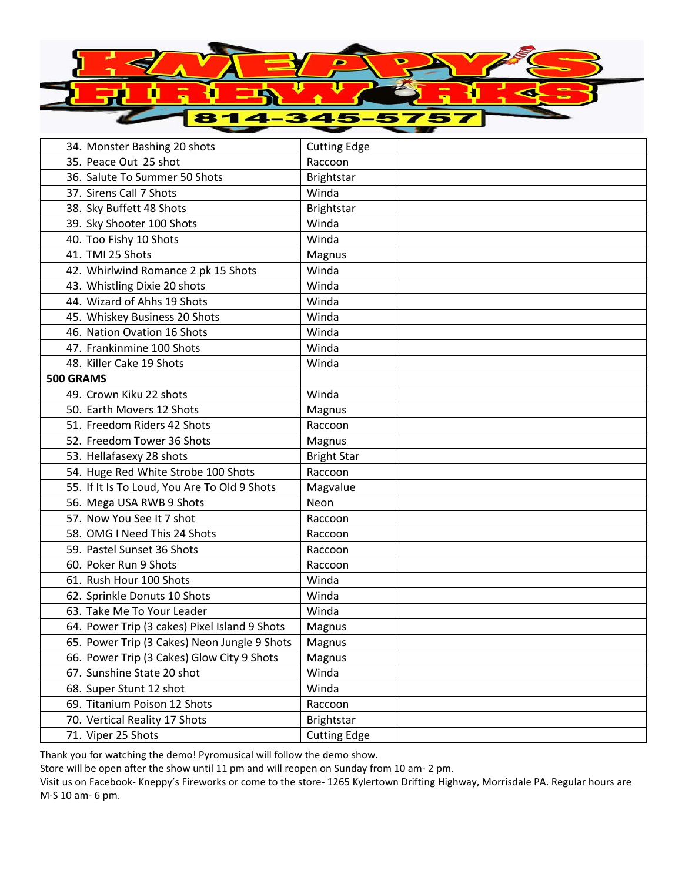

| 34. Monster Bashing 20 shots                  | <b>Cutting Edge</b> |  |
|-----------------------------------------------|---------------------|--|
| 35. Peace Out 25 shot                         | Raccoon             |  |
| 36. Salute To Summer 50 Shots                 | <b>Brightstar</b>   |  |
| 37. Sirens Call 7 Shots                       | Winda               |  |
| 38. Sky Buffett 48 Shots                      | <b>Brightstar</b>   |  |
| 39. Sky Shooter 100 Shots                     | Winda               |  |
| 40. Too Fishy 10 Shots                        | Winda               |  |
| 41. TMI 25 Shots                              | Magnus              |  |
| 42. Whirlwind Romance 2 pk 15 Shots           | Winda               |  |
| 43. Whistling Dixie 20 shots                  | Winda               |  |
| 44. Wizard of Ahhs 19 Shots                   | Winda               |  |
| 45. Whiskey Business 20 Shots                 | Winda               |  |
| 46. Nation Ovation 16 Shots                   | Winda               |  |
| 47. Frankinmine 100 Shots                     | Winda               |  |
| 48. Killer Cake 19 Shots                      | Winda               |  |
| 500 GRAMS                                     |                     |  |
| 49. Crown Kiku 22 shots                       | Winda               |  |
| 50. Earth Movers 12 Shots                     | Magnus              |  |
| 51. Freedom Riders 42 Shots                   | Raccoon             |  |
| 52. Freedom Tower 36 Shots                    | Magnus              |  |
| 53. Hellafasexy 28 shots                      | <b>Bright Star</b>  |  |
| 54. Huge Red White Strobe 100 Shots           | Raccoon             |  |
| 55. If It Is To Loud, You Are To Old 9 Shots  | Magvalue            |  |
| 56. Mega USA RWB 9 Shots                      | Neon                |  |
| 57. Now You See It 7 shot                     | Raccoon             |  |
| 58. OMG I Need This 24 Shots                  | Raccoon             |  |
| 59. Pastel Sunset 36 Shots                    | Raccoon             |  |
| 60. Poker Run 9 Shots                         | Raccoon             |  |
| 61. Rush Hour 100 Shots                       | Winda               |  |
| 62. Sprinkle Donuts 10 Shots                  | Winda               |  |
| 63. Take Me To Your Leader                    | Winda               |  |
| 64. Power Trip (3 cakes) Pixel Island 9 Shots | Magnus              |  |
| 65. Power Trip (3 Cakes) Neon Jungle 9 Shots  | Magnus              |  |
| 66. Power Trip (3 Cakes) Glow City 9 Shots    | Magnus              |  |
| 67. Sunshine State 20 shot                    | Winda               |  |
| 68. Super Stunt 12 shot                       | Winda               |  |
| 69. Titanium Poison 12 Shots                  | Raccoon             |  |
| 70. Vertical Reality 17 Shots                 | <b>Brightstar</b>   |  |
| 71. Viper 25 Shots                            | <b>Cutting Edge</b> |  |

Thank you for watching the demo! Pyromusical will follow the demo show.

Store will be open after the show until 11 pm and will reopen on Sunday from 10 am- 2 pm.

Visit us on Facebook- Kneppy's Fireworks or come to the store- 1265 Kylertown Drifting Highway, Morrisdale PA. Regular hours are M-S 10 am- 6 pm.